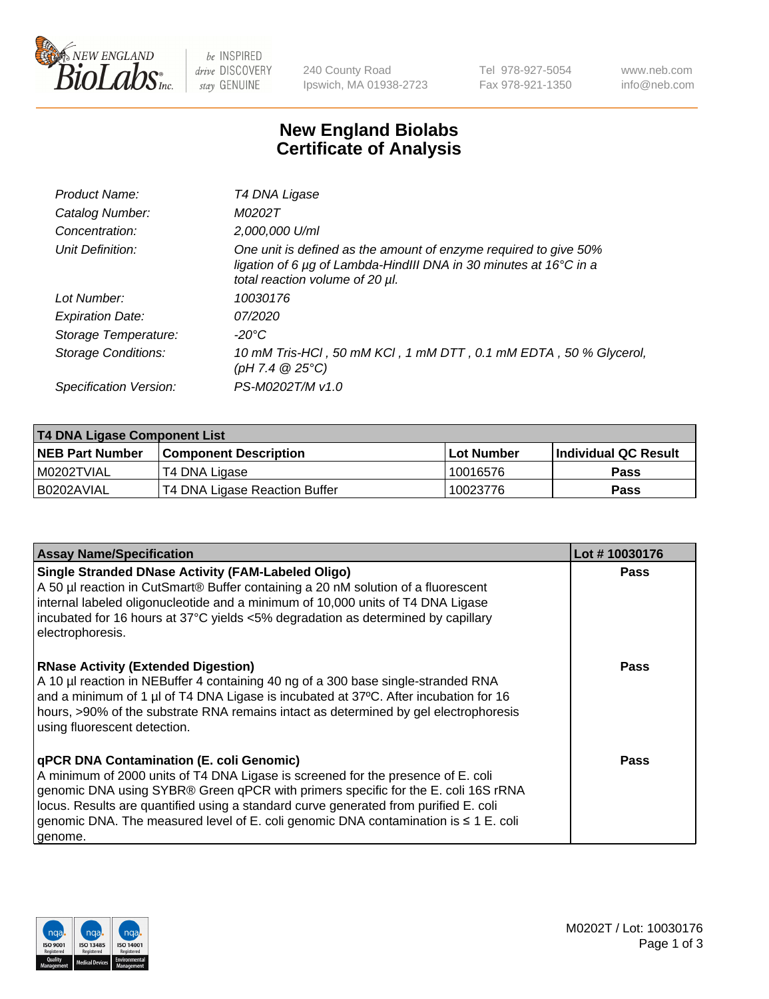

 $be$  INSPIRED drive DISCOVERY stay GENUINE

240 County Road Ipswich, MA 01938-2723 Tel 978-927-5054 Fax 978-921-1350 www.neb.com info@neb.com

## **New England Biolabs Certificate of Analysis**

| Product Name:           | T4 DNA Ligase                                                                                                                                                            |
|-------------------------|--------------------------------------------------------------------------------------------------------------------------------------------------------------------------|
| Catalog Number:         | M0202T                                                                                                                                                                   |
| Concentration:          | 2,000,000 U/ml                                                                                                                                                           |
| Unit Definition:        | One unit is defined as the amount of enzyme required to give 50%<br>ligation of 6 µg of Lambda-HindIII DNA in 30 minutes at 16°C in a<br>total reaction volume of 20 µl. |
| Lot Number:             | 10030176                                                                                                                                                                 |
| <b>Expiration Date:</b> | 07/2020                                                                                                                                                                  |
| Storage Temperature:    | $-20^{\circ}$ C                                                                                                                                                          |
| Storage Conditions:     | 10 mM Tris-HCl, 50 mM KCl, 1 mM DTT, 0.1 mM EDTA, 50 % Glycerol,<br>(pH 7.4 $@25°C$ )                                                                                    |
| Specification Version:  | PS-M0202T/M v1.0                                                                                                                                                         |

| <b>T4 DNA Ligase Component List</b> |                               |             |                       |  |
|-------------------------------------|-------------------------------|-------------|-----------------------|--|
| <b>NEB Part Number</b>              | <b>Component Description</b>  | ⊺Lot Number | ∣Individual QC Result |  |
| I M0202TVIAL                        | T4 DNA Ligase                 | 10016576    | <b>Pass</b>           |  |
| B0202AVIAL                          | T4 DNA Ligase Reaction Buffer | 10023776    | <b>Pass</b>           |  |

| <b>Assay Name/Specification</b>                                                                                                                                                                                                                                                                                                                                                                                         | Lot #10030176 |
|-------------------------------------------------------------------------------------------------------------------------------------------------------------------------------------------------------------------------------------------------------------------------------------------------------------------------------------------------------------------------------------------------------------------------|---------------|
| <b>Single Stranded DNase Activity (FAM-Labeled Oligo)</b><br>A 50 µl reaction in CutSmart® Buffer containing a 20 nM solution of a fluorescent<br>internal labeled oligonucleotide and a minimum of 10,000 units of T4 DNA Ligase<br>incubated for 16 hours at 37°C yields <5% degradation as determined by capillary<br>electrophoresis.                                                                               | <b>Pass</b>   |
| <b>RNase Activity (Extended Digestion)</b><br>A 10 µl reaction in NEBuffer 4 containing 40 ng of a 300 base single-stranded RNA<br>and a minimum of 1 µl of T4 DNA Ligase is incubated at 37°C. After incubation for 16<br>hours, >90% of the substrate RNA remains intact as determined by gel electrophoresis<br>using fluorescent detection.                                                                         | <b>Pass</b>   |
| <b>qPCR DNA Contamination (E. coli Genomic)</b><br>A minimum of 2000 units of T4 DNA Ligase is screened for the presence of E. coli<br>genomic DNA using SYBR® Green qPCR with primers specific for the E. coli 16S rRNA<br>locus. Results are quantified using a standard curve generated from purified E. coli<br>genomic DNA. The measured level of E. coli genomic DNA contamination is $\leq 1$ E. coli<br>genome. | Pass          |

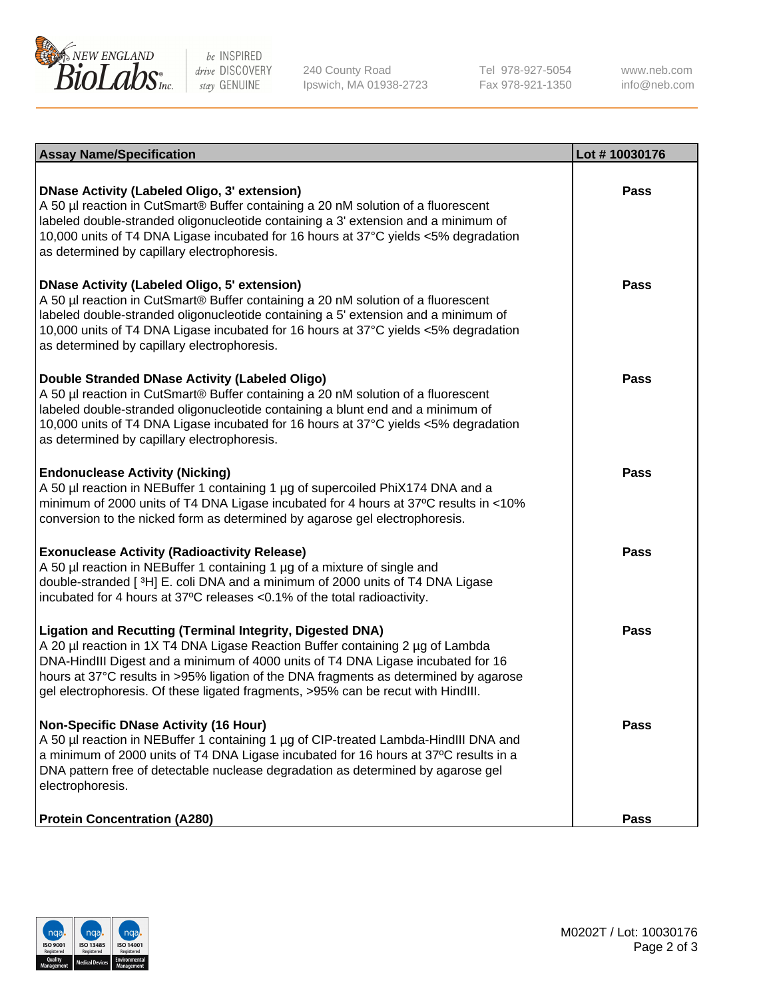

be INSPIRED drive DISCOVERY stay GENUINE

240 County Road Ipswich, MA 01938-2723 Tel 978-927-5054 Fax 978-921-1350

www.neb.com info@neb.com

| <b>Assay Name/Specification</b>                                                                                                                                                                                                                                                                                                                                                                                    | Lot #10030176 |
|--------------------------------------------------------------------------------------------------------------------------------------------------------------------------------------------------------------------------------------------------------------------------------------------------------------------------------------------------------------------------------------------------------------------|---------------|
| <b>DNase Activity (Labeled Oligo, 3' extension)</b><br>A 50 µl reaction in CutSmart® Buffer containing a 20 nM solution of a fluorescent<br>labeled double-stranded oligonucleotide containing a 3' extension and a minimum of<br>10,000 units of T4 DNA Ligase incubated for 16 hours at 37°C yields <5% degradation<br>as determined by capillary electrophoresis.                                               | <b>Pass</b>   |
| <b>DNase Activity (Labeled Oligo, 5' extension)</b><br>A 50 µl reaction in CutSmart® Buffer containing a 20 nM solution of a fluorescent<br>labeled double-stranded oligonucleotide containing a 5' extension and a minimum of<br>10,000 units of T4 DNA Ligase incubated for 16 hours at 37°C yields <5% degradation<br>as determined by capillary electrophoresis.                                               | <b>Pass</b>   |
| Double Stranded DNase Activity (Labeled Oligo)<br>A 50 µl reaction in CutSmart® Buffer containing a 20 nM solution of a fluorescent<br>labeled double-stranded oligonucleotide containing a blunt end and a minimum of<br>10,000 units of T4 DNA Ligase incubated for 16 hours at 37°C yields <5% degradation<br>as determined by capillary electrophoresis.                                                       | Pass          |
| <b>Endonuclease Activity (Nicking)</b><br>A 50 µl reaction in NEBuffer 1 containing 1 µg of supercoiled PhiX174 DNA and a<br>minimum of 2000 units of T4 DNA Ligase incubated for 4 hours at 37°C results in <10%<br>conversion to the nicked form as determined by agarose gel electrophoresis.                                                                                                                   | Pass          |
| <b>Exonuclease Activity (Radioactivity Release)</b><br>A 50 µl reaction in NEBuffer 1 containing 1 µg of a mixture of single and<br>double-stranded [3H] E. coli DNA and a minimum of 2000 units of T4 DNA Ligase<br>incubated for 4 hours at 37°C releases <0.1% of the total radioactivity.                                                                                                                      | <b>Pass</b>   |
| <b>Ligation and Recutting (Terminal Integrity, Digested DNA)</b><br>A 20 µl reaction in 1X T4 DNA Ligase Reaction Buffer containing 2 µg of Lambda<br>DNA-HindIII Digest and a minimum of 4000 units of T4 DNA Ligase incubated for 16<br>hours at 37°C results in >95% ligation of the DNA fragments as determined by agarose<br>gel electrophoresis. Of these ligated fragments, >95% can be recut with HindIII. | Pass          |
| <b>Non-Specific DNase Activity (16 Hour)</b><br>A 50 µl reaction in NEBuffer 1 containing 1 µg of CIP-treated Lambda-HindIII DNA and<br>a minimum of 2000 units of T4 DNA Ligase incubated for 16 hours at 37°C results in a<br>DNA pattern free of detectable nuclease degradation as determined by agarose gel<br>electrophoresis.                                                                               | <b>Pass</b>   |
| <b>Protein Concentration (A280)</b>                                                                                                                                                                                                                                                                                                                                                                                | Pass          |